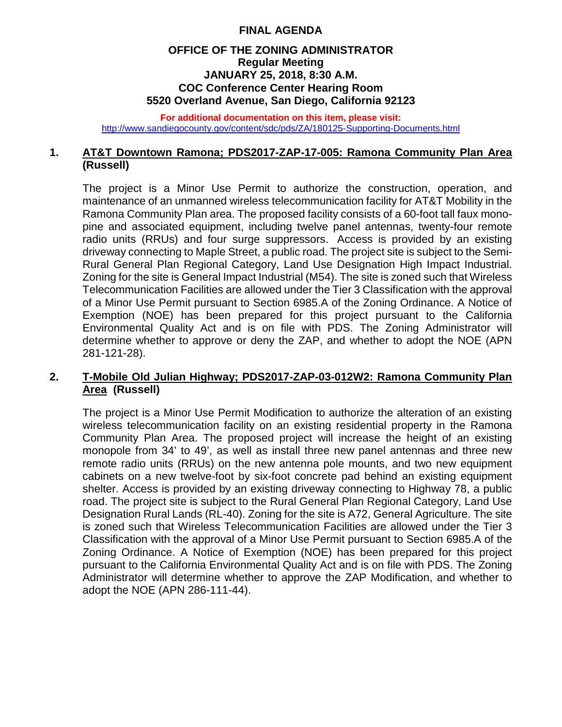# **FINAL AGENDA**

### **OFFICE OF THE ZONING ADMINISTRATOR Regular Meeting JANUARY 25, 2018, 8:30 A.M. COC Conference Center Hearing Room 5520 Overland Avenue, San Diego, California 92123**

**For additional documentation on this item, please visit:** <http://www.sandiegocounty.gov/content/sdc/pds/ZA/180125-Supporting-Documents.html>

## **1. AT&T Downtown Ramona; PDS2017-ZAP-17-005: Ramona Community Plan Area (Russell)**

The project is a Minor Use Permit to authorize the construction, operation, and maintenance of an unmanned wireless telecommunication facility for AT&T Mobility in the Ramona Community Plan area. The proposed facility consists of a 60-foot tall faux monopine and associated equipment, including twelve panel antennas, twenty-four remote radio units (RRUs) and four surge suppressors. Access is provided by an existing driveway connecting to Maple Street, a public road. The project site is subject to the Semi-Rural General Plan Regional Category, Land Use Designation High Impact Industrial. Zoning for the site is General Impact Industrial (M54). The site is zoned such that Wireless Telecommunication Facilities are allowed under the Tier 3 Classification with the approval of a Minor Use Permit pursuant to Section 6985.A of the Zoning Ordinance. A Notice of Exemption (NOE) has been prepared for this project pursuant to the California Environmental Quality Act and is on file with PDS. The Zoning Administrator will determine whether to approve or deny the ZAP, and whether to adopt the NOE (APN 281-121-28).

### **2. T-Mobile Old Julian Highway; PDS2017-ZAP-03-012W2: Ramona Community Plan Area (Russell)**

The project is a Minor Use Permit Modification to authorize the alteration of an existing wireless telecommunication facility on an existing residential property in the Ramona Community Plan Area. The proposed project will increase the height of an existing monopole from 34' to 49', as well as install three new panel antennas and three new remote radio units (RRUs) on the new antenna pole mounts, and two new equipment cabinets on a new twelve-foot by six-foot concrete pad behind an existing equipment shelter. Access is provided by an existing driveway connecting to Highway 78, a public road. The project site is subject to the Rural General Plan Regional Category, Land Use Designation Rural Lands (RL-40). Zoning for the site is A72, General Agriculture. The site is zoned such that Wireless Telecommunication Facilities are allowed under the Tier 3 Classification with the approval of a Minor Use Permit pursuant to Section 6985.A of the Zoning Ordinance. A Notice of Exemption (NOE) has been prepared for this project pursuant to the California Environmental Quality Act and is on file with PDS. The Zoning Administrator will determine whether to approve the ZAP Modification, and whether to adopt the NOE (APN 286-111-44).